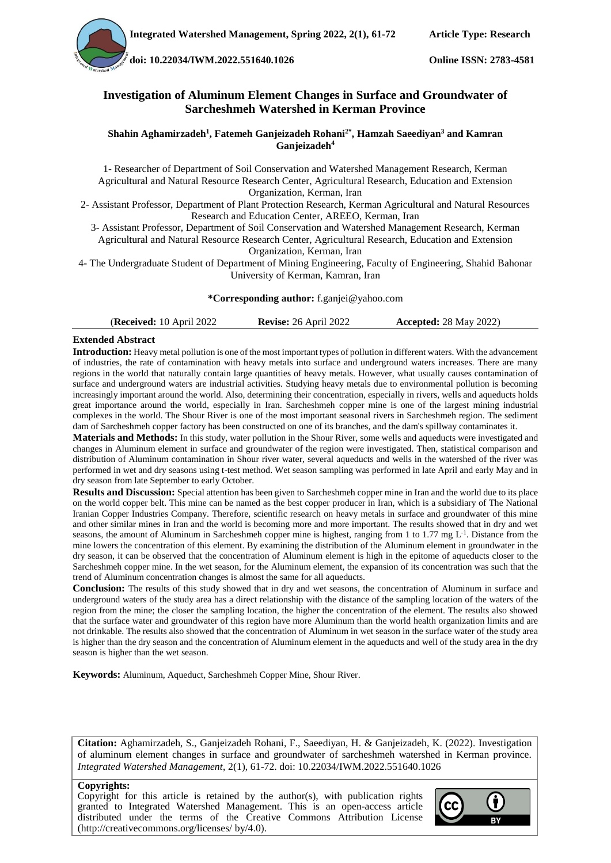**doi[: 10.22034/IWM.2022.551640.1026](https://dx.doi.org/10.22034/iwm.2022.551640.1026) Online ISSN: 2783-4581**

### **Investigation of Aluminum Element Changes in Surface and Groundwater of Sarcheshmeh Watershed in Kerman Province**

#### **Shahin Aghamirzadeh<sup>1</sup> , Fatemeh Ganjeizadeh Rohani2\*, Hamzah Saeediyan<sup>3</sup> and Kamran Ganjeizadeh<sup>4</sup>**

1- Researcher of Department of Soil Conservation and Watershed Management Research, Kerman Agricultural and Natural Resource Research Center, Agricultural Research, Education and Extension Organization, Kerman, Iran

2- Assistant Professor, Department of Plant Protection Research, Kerman Agricultural and Natural Resources Research and Education Center, AREEO, Kerman, Iran

3- Assistant Professor, Department of Soil Conservation and Watershed Management Research, Kerman Agricultural and Natural Resource Research Center, Agricultural Research, Education and Extension Organization, Kerman, Iran

4- The Undergraduate Student of Department of Mining Engineering, Faculty of Engineering, Shahid Bahonar University of Kerman, Kamran, Iran

#### **\*Corresponding author:** f.ganjei@yahoo.com

| <b>(Received: 10 April 2022)</b> | <b>Revise:</b> 26 April 2022 | <b>Accepted:</b> 28 May 2022) |
|----------------------------------|------------------------------|-------------------------------|
|                                  |                              |                               |

#### **Extended Abstract**

**Introduction:** Heavy metal pollution is one of the most important types of pollution in different waters. With the advancement of industries, the rate of contamination with heavy metals into surface and underground waters increases. There are many regions in the world that naturally contain large quantities of heavy metals. However, what usually causes contamination of surface and underground waters are industrial activities. Studying heavy metals due to environmental pollution is becoming increasingly important around the world. Also, determining their concentration, especially in rivers, wells and aqueducts holds great importance around the world, especially in Iran. Sarcheshmeh copper mine is one of the largest mining industrial complexes in the world. The Shour River is one of the most important seasonal rivers in Sarcheshmeh region. The sediment dam of Sarcheshmeh copper factory has been constructed on one of its branches, and the dam's spillway contaminates it.

**Materials and Methods:** In this study, water pollution in the Shour River, some wells and aqueducts were investigated and changes in Aluminum element in surface and groundwater of the region were investigated. Then, statistical comparison and distribution of Aluminum contamination in Shour river water, several aqueducts and wells in the watershed of the river was performed in wet and dry seasons using t-test method. Wet season sampling was performed in late April and early May and in dry season from late September to early October.

**Results and Discussion:** Special attention has been given to Sarcheshmeh copper mine in Iran and the world due to its place on the world copper belt. This mine can be named as the best copper producer in Iran, which is a subsidiary of The National Iranian Copper Industries Company. Therefore, scientific research on heavy metals in surface and groundwater of this mine and other similar mines in Iran and the world is becoming more and more important. The results showed that in dry and wet seasons, the amount of Aluminum in Sarcheshmeh copper mine is highest, ranging from 1 to 1.77 mg  $L<sup>-1</sup>$ . Distance from the mine lowers the concentration of this element. By examining the distribution of the Aluminum element in groundwater in the dry season, it can be observed that the concentration of Aluminum element is high in the epitome of aqueducts closer to the Sarcheshmeh copper mine. In the wet season, for the Aluminum element, the expansion of its concentration was such that the trend of Aluminum concentration changes is almost the same for all aqueducts.

**Conclusion:** The results of this study showed that in dry and wet seasons, the concentration of Aluminum in surface and underground waters of the study area has a direct relationship with the distance of the sampling location of the waters of the region from the mine; the closer the sampling location, the higher the concentration of the element. The results also showed that the surface water and groundwater of this region have more Aluminum than the world health organization limits and are not drinkable. The results also showed that the concentration of Aluminum in wet season in the surface water of the study area is higher than the dry season and the concentration of Aluminum element in the aqueducts and well of the study area in the dry season is higher than the wet season.

**Keywords:** Aluminum, Aqueduct, Sarcheshmeh Copper Mine, Shour River.

**Citation:** Aghamirzadeh, S., Ganjeizadeh Rohani, F., Saeediyan, H. & Ganjeizadeh, K. (2022). Investigation of aluminum element changes in surface and groundwater of sarcheshmeh watershed in Kerman province. *Integrated Watershed Management*, 2(1), 61-72. doi[: 10.22034/IWM.2022.551640.1026](https://dx.doi.org/10.22034/iwm.2022.551640.1026)

#### **Copyrights:**

Copyright for this article is retained by the author(s), with publication rights granted to Integrated Watershed Management. This is an open-access article distributed under the terms of the Creative Commons Attribution License (http://creativecommons.org/licenses/ by/4.0).

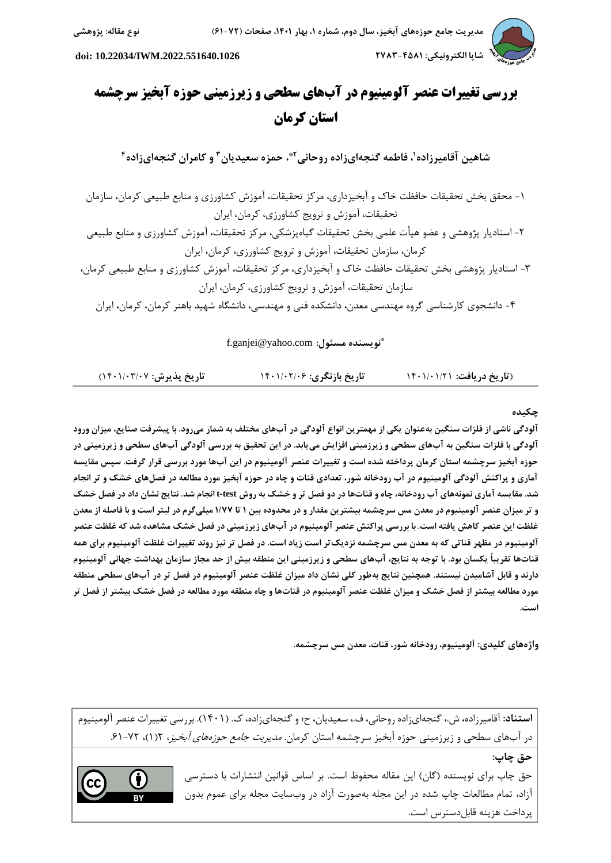

 **شاپا الکترونیکی: 7252-0851 [.2022.551640.1026IWM10.22034/](https://dx.doi.org/10.22034/iwm.2022.551640.1026) :doi**

# **بررسی تغییرات عنصر آلومینیوم در آبهای سطحی و زیرزمینی حوزه آبخیز سرچشمه استان کرمان**

**2 ، حمزه سعیدیان 7\* ، فاطمه گنجهایزاده روحانی <sup>1</sup> شاهین آقامیرزاده 0 و کامران گنجهایزاده**

-1 محقق بخش تحقیقات حافظت خاک و آبخیزداری، مرکز تحقیقات، آموزش کشاورزی و منابع طبیعی کرمان، سازمان تحقیقات، آموزش و ترويج کشاورزی، کرمان، ايران -2 استاديار پژوهشی و عضو هیأت علمی بخش تحقیقات گیاهپزشکی، مرکز تحقیقات، آموزش کشاورزی و منابع طبیعی کرمان، سازمان تحقیقات، آموزش و ترويج کشاورزی، کرمان، ايران -3 استاديار پژوهشی بخش تحقیقات حافظت خاک و آبخیزداری، مرکز تحقیقات، آموزش کشاورزی و منابع طبیعی کرمان، سازمان تحقیقات، آموزش و ترويج کشاورزی، کرمان، ايران -0 دانشجوی کارشناسی گروه مهندسی معدن، دانشکده فنی و مهندسی، دانشگاه شهید باهنر کرمان، کرمان، ايران

**\*** f.ganjei@yahoo.com **:مسئول نویسنده**

)**تاریخ دریافت:** 1041/41/21 **تاریخ بازنگری:** 1041/42/41 **تاریخ پذیرش:** 1041/43/42(

## **چکیده**

**آلودگی ناشی از فلزات سنگین بهعنوان یکی از مهمترین انواع آلودگی در آبهای مختلف به شمار میرود. با پیشرفت صنایع، میزان ورود آلودگی با فلزات سنگین به آبهای سطحی و زیرزمینی افزایش مییابد. در این تحقیق به بررسی آلودگی آبهای سطحی و زیرزمینی در حوزه آبخیز سرچشمه استان کرمان پرداخته شده است و تغییرات عنصر آلومینیوم در این آبها مورد بررسی قرار گرفت. سپس مقایسه آماری و پراکنش آلودگی آلومینیوم در آب رودخانه شور، تعدادی قنات و چاه در حوزه آبخیز مورد مطالعه در فصلهای خشک و تر انجام شد. مقایسه آماری نمونههای آب رودخانه، چاه و قناتها در دو فصل تر و خشک به روش test-t انجام شد. نتایج نشان داد در فصل خشک و تر میزان عنصر آلومینیوم در معدن مس سرچشمه بیشترین مقدار و در محدوده بین 1 تا 1/22 میلیگرم در لیتر است و با فاصله از معدن غلظت این عنصر کاهش یافته است. با بررسی پراکنش عنصر آلومینیوم در آبهای زیرزمینی در فصل خشک مشاهده شد که غلظت عنصر آلومینیوم در مظهر قناتی که به معدن مس سرچشمه نزدیکتر است زیاد است. در فصل تر نیز روند تغییرات غلظت آلومینیوم برای همه قناتها تقریباً یکسان بود. با توجه به نتایج، آبهای سطحی و زیرزمینی این منطقه بیش از حد مجاز سازمان بهداشت جهانی آلومینیوم دارند و قابل آشامیدن نیستند. همچنین نتایج بهطور کلی نشان داد میزان غلظت عنصر آلومینیوم در فصل تر در آبهای سطحی منطقه مورد مطالعه بیشتر از فصل خشک و میزان غلظت عنصر آلومینیوم در قناتها و چاه منطقه مورد مطالعه در فصل خشک بیشتر از فصل تر است.**

**واژههای کلیدی: آلومینیوم، رودخانه شور، قنات، معدن مس سرچشمه.**

**استناد:** آقامیرزاده، ش،. گنجهایزاده روحانی، ف،. سعیديان، ح؛ و گنجهایزاده، ک. )1041(. بررسی تغییرات عنصر آلومینیوم در آبهای سطحی و زيرزمينی حوزه آبخيز سرچشمه استان كرمان. *مديريت جامع حوزههای آبخيز*، ١(١)، ٧٢-٤١.

**حق چاپ:**

حق چاپ برای نویسنده (گان) این مقاله محفوظ است. بر اساس قوانین انتشارات با دسترسی آزاد، تمام مطالعات چاپ شده در اين مجله بهصورت آزاد در وبسايت مجله برای عموم بدون پرداخت هزينه قابلدسترس است.

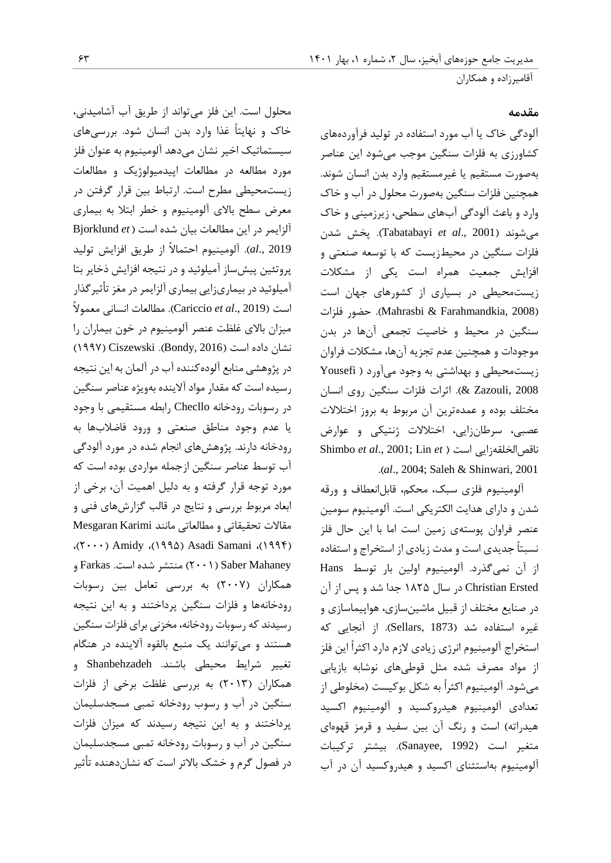## **مقدمه**

آلودگی خاک يا آب مورد استفاده در تولید فرآوردههای کشاورزی به فلزات سنگین موجب میشود اين عناصر بهصورت مستقیم يا غیرمستقیم وارد بدن انسان شوند. همچنین فلزات سنگین بهصورت محلول در آب و خاک وارد و باعث آلودگی آبهای سطحی، زيرزمینی و خاک میشوند )2001 .,*al et* Tabatabayi). پخش شدن فلزات سنگین در محیطزيست که با توسعه صنعتی و افزايش جمعیت همراه است يکی از مشکالت زيستمحیطی در بسیاری از کشورهای جهان است )2008 ,Farahmandkia & Mahrasbi). حضور فلزات سنگین در محیط و خاصیت تجمعی آنها در بدن موجودات و همچنین عدم تجزيه آنها، مشکالت فراوان زيستمحیطی و بهداشتی به وجود میآورد ) Yousefi 2008 ,Zazouli)& . اثرات فلزات سنگین روی انسان مختلف بوده و عمدهترين آن مربوط به بروز اختالالت عصبی، سرطانزايی، اختالالت ژنتیکی و عوارض Shimbo *et al*., 2001; Lin *et* ( است ناقصالخلقهزايی .)*al*., 2004; Saleh & Shinwari, 2001

آلومینیوم فلزی سبک، محکم، قابلانعطاف و ورقه شدن و دارای هدايت الکتريکی است. آلومینیوم سومین عنصر فراوان پوستهی زمین است اما با اين حال فلز نسبتاً جديدی است و مدت زيادی از استخراج و استفاده از آن نمیگذرد. آلومینیوم اولین بار توسط Hans Ersted Christian در سال 1221 جدا شد و پس از آن در صنايع مختلف از قبیل ماشینسازی، هواپیماسازی و غیره استفاده شد )1873 ,Sellars). از آنجايی که استخراج آلومینیوم انرژی زيادی الزم دارد اکثراً اين فلز از مواد مصرف شده مثل قوطیهای نوشابه بازيابی میشود. آلومینیوم اکثراً به شکل بوکیست )مخلوطی از تعدادی آلومینیوم هیدروکسید و آلومینیوم اکسید هیدراته) است و رنگ آن بین سفید و قرمز قهوهای متغیر است )1992 ,Sanayee). بیشتر ترکیبات آلومینیوم بهاستثنای اکسید و هیدروکسید آن در آب

محلول است. اين فلز میتواند از طريق آب آشامیدنی، خاک و نهايتاً غذا وارد بدن انسان شود. بررسیهای سیستماتیک اخیر نشان میدهد آلومینیوم به عنوان فلز مورد مطالعه در مطالعات اپیدمیولوژيک و مطالعات زيستمحیطی مطرح است. ارتباط بین قرار گرفتن در معرض سطح باالی آلومینیوم و خطر ابتال به بیماری آلزايمر در اين مطالعات بیان شده است ) *et* Bjorklund 2019 .,*al*). آلومینیوم احتماالً از طريق افزايش تولید پروتئین پیشساز آمیلوئید و در نتیجه افزايش ذخاير بتا آمیلوئید در بیماریزايی بیماری آلزايمر در مغز تأثیرگذار است )2019 .,*al et* Cariccio). مطالعات انسانی معموالً میزان باالی غلظت عنصر آلومینیوم در خون بیماران را نشان داده است )2016 ,Bondy). Ciszewski( 1992 ) در پژوهشی منابع آلودهکننده آب در آلمان به اين نتیجه رسیده است که مقدار مواد آالينده بهويژه عناصر سنگین در رسوبات رودخانه Checllo رابطه مستقیمی با وجود يا عدم وجود مناطق صنعتی و ورود فاضالبها به رودخانه دارند. پژوهشهای انجام شده در مورد آلودگی آب توسط عناصر سنگین ازجمله مواردی بوده است که مورد توجه قرار گرفته و به دلیل اهمیت آن، برخی از ابعاد مربوط بررسی و نتايج در قالب گزارشهای فنی و مقاالت تحقیقاتی و مطالعاتی مانند Karimi Mesgaran ،)2444( Amidy ،)1991( Asadi Samani ،)1990( Mahaney Saber( 2441 )منتشر شده است. Farkas و همکاران )2442( به بررسی تعامل بین رسوبات رودخانهها و فلزات سنگین پرداختند و به اين نتیجه رسیدند که رسوبات رودخانه، مخزنی برای فلزات سنگین هستند و میتوانند يک منبع بالقوه آالينده در هنگام تغییر شرايط محیطی باشند. Shanbehzadeh و همکاران )2413( به بررسی غلظت برخی از فلزات سنگین در آب و رسوب رودخانه تمبی مسجدسلیمان پرداختند و به اين نتیجه رسیدند که میزان فلزات سنگین در آب و رسوبات رودخانه تمبی مسجدسلیمان در فصول گرم و خشک باالتر است که نشاندهنده تأثیر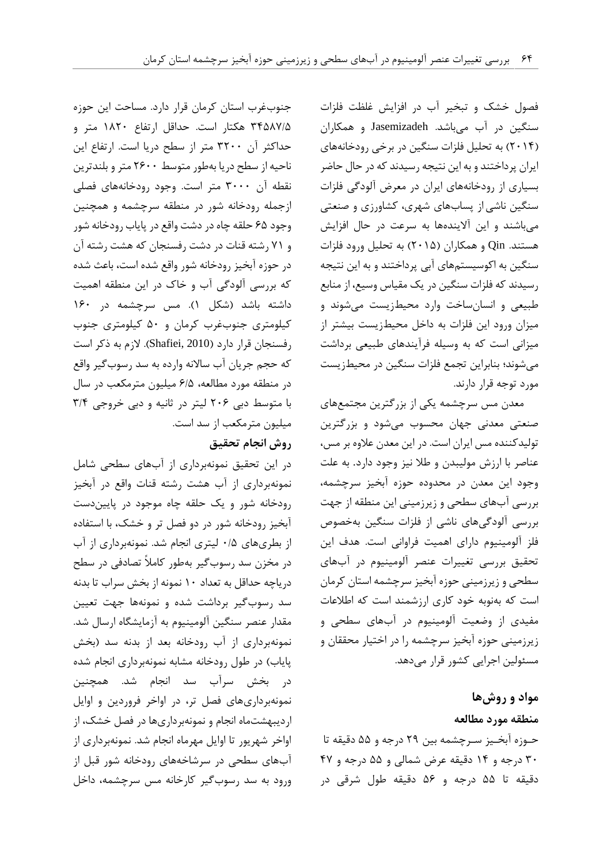فصول خشک و تبخیر آب در افزايش غلظت فلزات سنگین در آب میباشد. Jasemizadeh و همکاران )2410( به تحلیل فلزات سنگین در برخی رودخانههای ايران پرداختند و به اين نتیجه رسیدند که در حال حاضر بسیاری از رودخانههای ايران در معرض آلودگی فلزات سنگین ناشیاز پسابهای شهری، کشاورزی و صنعتی میباشند و اين آاليندهها به سرعت در حال افزايش هستند. Qin و همکاران )2411( به تحلیل ورود فلزات سنگین به اکوسیستمهای آبی پرداختند و به اين نتیجه رسیدند که فلزات سنگین در يک مقیاس وسیع، از منابع طبیعی و انسانساخت وارد محیطزيست میشوند و میزان ورود اين فلزات به داخل محیطزيست بیشتر از میزانی است که به وسیله فرآيندهای طبیعی برداشت میشوند؛ بنابراين تجمع فلزات سنگین در محیطزيست مورد توجه قرار دارند.

معدن مس سرچشمه يکی از بزرگترين مجتمعهای صنعتی معدنی جهان محسوب میشود و بزرگترين تولیدکننده مس ايران است. در اين معدن عالوه بر مس، عناصر با ارزش مولیبدن و طال نیز وجود دارد. به علت وجود اين معدن در محدوده حوزه آبخیز سرچشمه، بررسی آبهای سطحی و زيرزمینی اين منطقه از جهت بررسی آلودگیهای ناشی از فلزات سنگین بهخصوص فلز آلومینیوم دارای اهمیت فراوانی است. هدف اين تحقیق بررسی تغییرات عنصر آلومینیوم در آبهای سطحی و زيرزمینی حوزه آبخیز سرچشمه استان کرمان است که بهنوبه خود کاری ارزشمند است که اطالعات مفیدی از وضعیت آلومینیوم در آبهای سطحی و زيرزمینی حوزه آبخیز سرچشمه را در اختیار محققان و مسئولین اجرايی کشور قرار میدهد.

## **مواد و روشها منطقه مورد مطالعه**

حـوزه آبخـیز سـرچشمه بین 29 درجه و 11 دقیقه تا 34 درجه و 10 دقیقه عرض شمالی و 11 درجه و 02 دقیقه تا 11 درجه و 11 دقیقه طول شرقی در

جنوبغرب استان کرمان قرار دارد. مساحت اين حوزه 30122/1 هکتار است. حداقل ارتفاع 1224 متر و حداکثر آن 3244 متر از سطح دريا است. ارتفاع اين ناحیه از سطح دريا بهطور متوسط 2144 متر و بلندترين نقطه آن 3444 متر است. وجود رودخانههای فصلی ازجمله رودخانه شور در منطقه سرچشمه و همچنین وجود 11 حلقه چاه در دشت واقع در پاياب رودخانه شور و 21 رشته قنات در دشت رفسنجان که هشت رشته آن در حوزه آبخیز رودخانه شور واقع شده است، باعث شده که بررسی آلودگی آب و خاک در اين منطقه اهمیت داشته باشد )شکل 1(. مس سرچشمه در 114 کیلومتری جنوبغرب کرمان و 14 کیلومتری جنوب رفسنجان قرار دارد )2010 ,Shafiei). الزم به ذکر است که حجم جريان آب ساالنه وارده به سد رسوبگیر واقع در منطقه مورد مطالعه، 1/1 میلیون مترمکعب در سال با متوسط دبی 241 لیتر در ثانیه و دبی خروجی 3/0 میلیون مترمکعب از سد است.

## **روش انجام تحقیق**

در اين تحقیق نمونهبرداری از آبهای سطحی شامل نمونهبرداری از آب هشت رشته قنات واقع در آبخیز رودخانه شور و يک حلقه چاه موجود در پايیندست آبخیز رودخانه شور در دو فصل تر و خشک، با استفاده از بطریهای 4/1 لیتری انجام شد. نمونهبرداری از آب در مخزن سد رسوبگیر بهطور کامالً تصادفی در سطح درياچه حداقل به تعداد 14 نمونه از بخش سراب تا بدنه سد رسوبگیر برداشت شده و نمونهها جهت تعیین مقدار عنصر سنگین آلومینیوم به آزمايشگاه ارسال شد. نمونهبرداری از آب رودخانه بعد از بدنه سد )بخش پاياب) در طول رودخانه مشابه نمونهبرداری انجام شده در بخش سرآب سد انجام شد. همچنین نمونهبرداریهای فصل تر، در اواخر فروردين و اوايل ارديبهشتماه انجام و نمونهبرداریها در فصل خشک، از اواخر شهريور تا اوايل مهرماه انجام شد. نمونهبرداری از آبهای سطحی در سرشاخههای رودخانه شور قبل از ورود به سد رسوبگیر کارخانه مس سرچشمه، داخل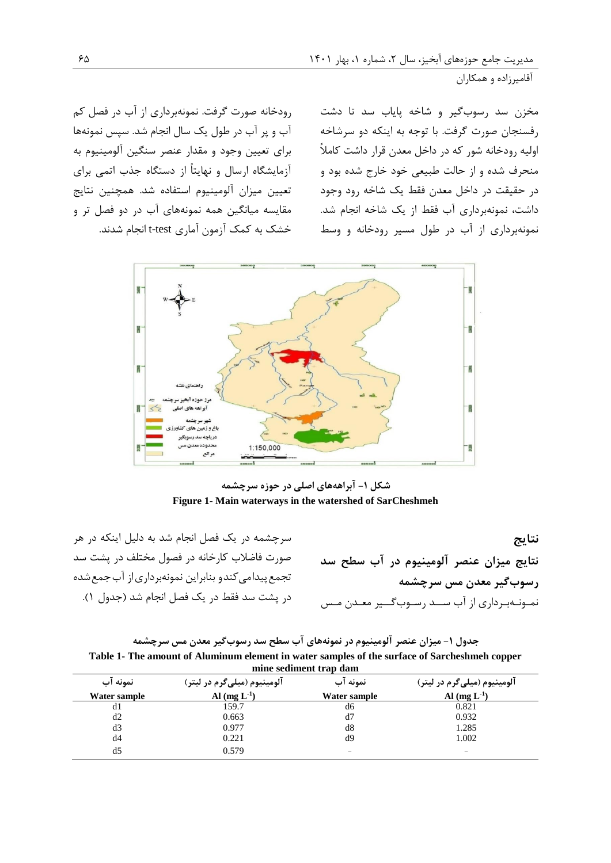رودخانه صورت گرفت. نمونهبرداری از آب در فصل کم آب و پر آب در طول يک سال انجام شد. سپس نمونهها برای تعیین وجود و مقدار عنصر سنگین آلومینیوم به آزمايشگاه ارسال و نهايتاً از دستگاه جذب اتمی برای تعیین میزان آلومینیوم استفاده شد. همچنین نتايج مقايسه میانگین همه نمونههای آب در دو فصل تر و خشک به کمک آزمون آماری test-t انجام شدند.

مخزن سد رسوبگیر و شاخه پاياب سد تا دشت رفسنجان صورت گرفت. با توجه به اينکه دو سرشاخه اولیه رودخانه شور که در داخل معدن قرار داشت کامالً منحرف شده و از حالت طبیعی خود خارج شده بود و در حقیقت در داخل معدن فقط يک شاخه رود وجود داشت، نمونهبرداری آب فقط از يک شاخه انجام شد. نمونهبرداری از آب در طول مسیر رودخانه و وسط



**شکل -1 آبراهههای اصلی در حوزه سرچشمه Figure 1- Main waterways in the watershed of SarCheshmeh**

سرچشمه در يک فصل انجام شد به دلیل اينکه در هر صورت فاضالب کارخانه در فصول مختلف در پشت سد تجمع پیدامی کندو بنابراین نمونهبرداری از آب جمع شده در پشت سد فقط در يک فصل انجام شد )جدول 1(.

**نتایج نتایج میزان عنصر آلومینیوم در آب سطح سد رسوبگیر معدن مس سرچشمه** نمـونـهبـرداری از آب ســد رسـوبگــیر معـدن مـس

**جدول -1 میزان عنصر آلومینیوم در نمونههای آب سطح سد رسوبگیر معدن مس سرچشمه Table 1- The amount of Aluminum element in water samples of the surface of Sarcheshmeh copper mine sediment trap dam**

| пшие эсчинени и ар чаш                                                                       |                  |              |                          |  |  |  |
|----------------------------------------------------------------------------------------------|------------------|--------------|--------------------------|--|--|--|
| نمونه آب<br>نمونه آب<br>آلومينيوم (ميل <i>ي گ</i> رم در ليتر)<br>آلومينيوم (ميلي€رم در ليتر) |                  |              |                          |  |  |  |
| Water sample                                                                                 | Al $(mg L^{-1})$ | Water sample | Al $(mg L^{-1})$         |  |  |  |
| d1                                                                                           | 159.7            | d6           | 0.821                    |  |  |  |
| d2                                                                                           | 0.663            | d7           | 0.932                    |  |  |  |
| d3                                                                                           | 0.977            | d8           | 1.285                    |  |  |  |
| d4                                                                                           | 0.221            | d9           | 1.002                    |  |  |  |
| d5                                                                                           | 0.579            | -            | $\overline{\phantom{a}}$ |  |  |  |
|                                                                                              |                  |              |                          |  |  |  |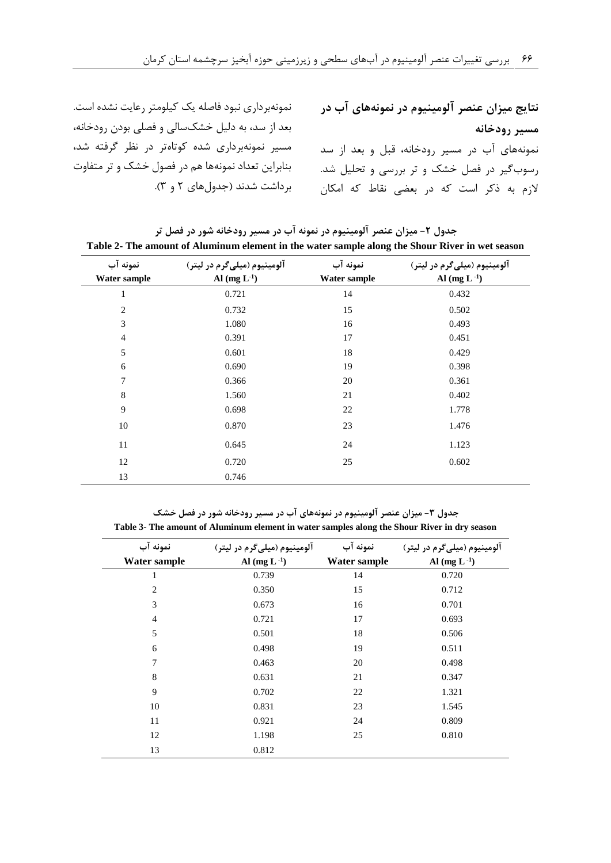**نتایج میزان عنصر آلومینیوم در نمونههای آب در مسیر رودخانه**  نمونههای آب در مسیر رودخانه، قبل و بعد از سد رسوبگیر در فصل خشک و تر بررسی و تحلیل شد. الزم به ذکر است که در بعضی نقاط که امکان نمونهبرداری نبود فاصله يک کیلومتر رعايت نشده است. بعد از سد، به دلیل خشکسالی و فصلی بودن رودخانه، مسیر نمونهبرداری شده کوتاهتر در نظر گرفته شد، بنابراين تعداد نمونهها هم در فصول خشک و تر متفاوت برداشت شدند )جدولهای 2 و 3(.

| جدول ۲- میزان عنصر آلومینیوم در نمونه آب در مسیر رودخانه شور در فصل تر                          |  |
|-------------------------------------------------------------------------------------------------|--|
| Table 2- The amount of Aluminum element in the water sample along the Shour River in wet season |  |

| amount of frammann crement in the water bample along the broad fuser in wet beabon |                             |              |                             |  |  |  |
|------------------------------------------------------------------------------------|-----------------------------|--------------|-----------------------------|--|--|--|
| نمونه آب                                                                           | آلومينيوم (ميليگرم در ليتر) | نمونه آب     | آلومينيوم (ميليگرم در ليتر) |  |  |  |
| Water sample                                                                       | Al $(mg L^{-1})$            | Water sample | Al $(mg L^{-1})$            |  |  |  |
| $\mathbf{1}$                                                                       | 0.721                       | 14           | 0.432                       |  |  |  |
| $\overline{2}$                                                                     | 0.732                       | 15           | 0.502                       |  |  |  |
| 3                                                                                  | 1.080                       | 16           | 0.493                       |  |  |  |
| $\overline{4}$                                                                     | 0.391                       | 17           | 0.451                       |  |  |  |
| 5                                                                                  | 0.601                       | 18           | 0.429                       |  |  |  |
| 6                                                                                  | 0.690                       | 19           | 0.398                       |  |  |  |
| 7                                                                                  | 0.366                       | 20           | 0.361                       |  |  |  |
| 8                                                                                  | 1.560                       | 21           | 0.402                       |  |  |  |
| 9                                                                                  | 0.698                       | 22           | 1.778                       |  |  |  |
| 10                                                                                 | 0.870                       | 23           | 1.476                       |  |  |  |
| 11                                                                                 | 0.645                       | 24           | 1.123                       |  |  |  |
| 12                                                                                 | 0.720                       | 25           | 0.602                       |  |  |  |
| 13                                                                                 | 0.746                       |              |                             |  |  |  |

**جدول -2 میزان عنصر آلومینیوم در نمونههای آب در مسیر رودخانه شور در فصل خشک Table 3- The amount of Aluminum element in water samples along the Shour River in dry season**

| نمونه آب<br>Water sample | آلومينيوم (ميليگرم در ليتر)<br>Al $(mg L^{-1})$ | نمونه آب<br><b>Water sample</b> | الومينيوم (ميل <i>ي گ</i> رم در ليتر)<br>Al $(mg L^{-1})$ |
|--------------------------|-------------------------------------------------|---------------------------------|-----------------------------------------------------------|
| 1                        | 0.739                                           | 14                              | 0.720                                                     |
| $\overline{2}$           | 0.350                                           | 15                              | 0.712                                                     |
| 3                        | 0.673                                           | 16                              | 0.701                                                     |
| $\overline{4}$           | 0.721                                           | 17                              | 0.693                                                     |
| 5                        | 0.501                                           | 18                              | 0.506                                                     |
| 6                        | 0.498                                           | 19                              | 0.511                                                     |
| 7                        | 0.463                                           | 20                              | 0.498                                                     |
| 8                        | 0.631                                           | 21                              | 0.347                                                     |
| 9                        | 0.702                                           | 22                              | 1.321                                                     |
| 10                       | 0.831                                           | 23                              | 1.545                                                     |
| 11                       | 0.921                                           | 24                              | 0.809                                                     |
| 12                       | 1.198                                           | 25                              | 0.810                                                     |
| 13                       | 0.812                                           |                                 |                                                           |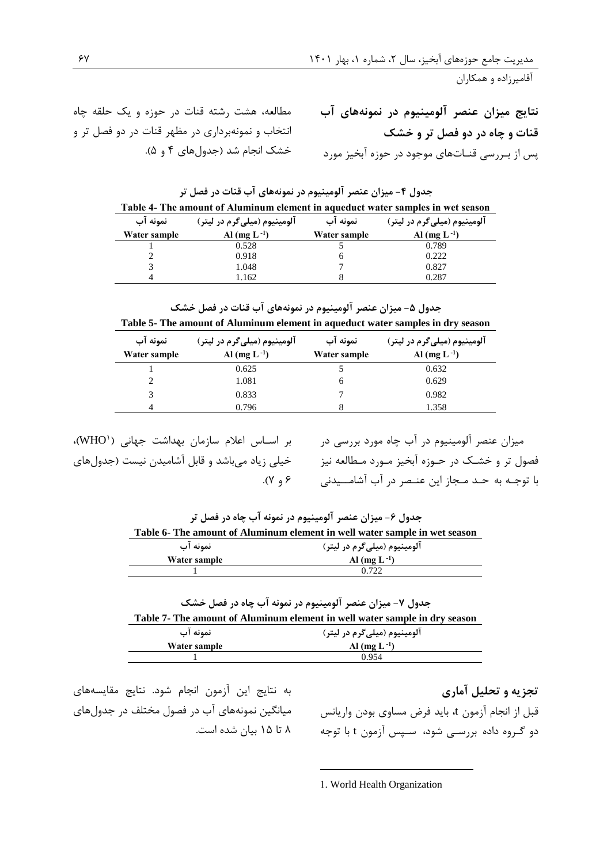مطالعه، هشت رشته قنات در حوزه و يک حلقه چاه انتخاب و نمونهبرداری در مظهر قنات در دو فصل تر و خشک انجام شد (جدولهای ۴ و ۵).

**نتایج میزان عنصر آلومینیوم در نمونههای آب قنات و چاه در دو فصل تر و خشک** پس از بـررسی قنـاتهای موجود در حوزه آبخیز مورد

| جدول ۴- میزان عنصر آلومینیوم در نمونههای آب قنات در فصل تر                      |
|---------------------------------------------------------------------------------|
| Table 4- The amount of Aluminum element in aqueduct water samples in wet season |

| نمونه آب<br>آلومينيوم (ميلي€رم در ليتر) |                  | نمونه اب     | الومينيوم (ميليگرم در ليتر) |
|-----------------------------------------|------------------|--------------|-----------------------------|
| Water sample                            | Al $(mg L^{-1})$ | Water sample | Al (mg $L^{-1}$ )           |
|                                         | 0.528            |              | 0.789                       |
|                                         | 0.918            |              | 0.222                       |
|                                         | 1.048            |              | 0.827                       |
|                                         | 1.162            |              | 0.287                       |

جدول **۵- میزان عنصر آلومینیوم در نمونههای آب قنات در فصل خشک** 

**Table 5- The amount of Aluminum element in aqueduct water samples in dry season**

| نمونه آب     | آلومينيوم (ميليگرم در ليتر) | نمونه اب     | آلومينيوم (ميلي5رم در ليتر) |
|--------------|-----------------------------|--------------|-----------------------------|
| Water sample | Al (mg $L^{-1}$ )           | Water sample | Al $(mg L^{-1})$            |
|              | 0.625                       |              | 0.632                       |
| 2            | 1.081                       | <sub>0</sub> | 0.629                       |
| 3            | 0.833                       |              | 0.982                       |
|              | 0.796                       |              | 1.358                       |

میزان عنصر آلومینیوم در آب چاه مورد بررسی در مسمس بر اســاس اعلام سازمان بهداشت جهانی (WHO)، خیلی زياد میباشد و قابل آشامیدن نیست )جدولهای  $(1, 8)$ .

فصول تر و خشـک در حـوزه آبخیز مـورد مـطالعه نیز با توجـه به حـد مـجاز اين عنـصر در آب آشامــیدنی

**جدول -1 میزان عنصر آلومینیوم در نمونه آب چاه در فصل تر Table 6- The amount of Aluminum element in well water sample in wet season**

| نمونه اب     | آلومينيوم (ميليگرم در ليتر) |
|--------------|-----------------------------|
| Water sample | Al (mg $L^{-1}$ )           |
|              | 0.722                       |

**جدول -2 میزان عنصر آلومینیوم در نمونه آب چاه در فصل خشک Table 7- The amount of Aluminum element in well water sample in dry season**

| نمونه آب     | آلومينيوم (ميليگرم در ليتر) |
|--------------|-----------------------------|
| Water sample | Al (mg $L^{-1}$ )           |
|              | 0.954                       |

**تجزیه و تحلیل آماری**  قبل از انجام آزمون t، بايد فرض مساوی بودن واريانس دو گـروه داده بررسـی شود، سـپس آزمون t با توجه

به نتايج اين آزمون انجام شود. نتايج مقايسههای میانگین نمونههای آب در فصول مختلف در جدولهای 2 تا 11 بیان شده است.

1. World Health Organization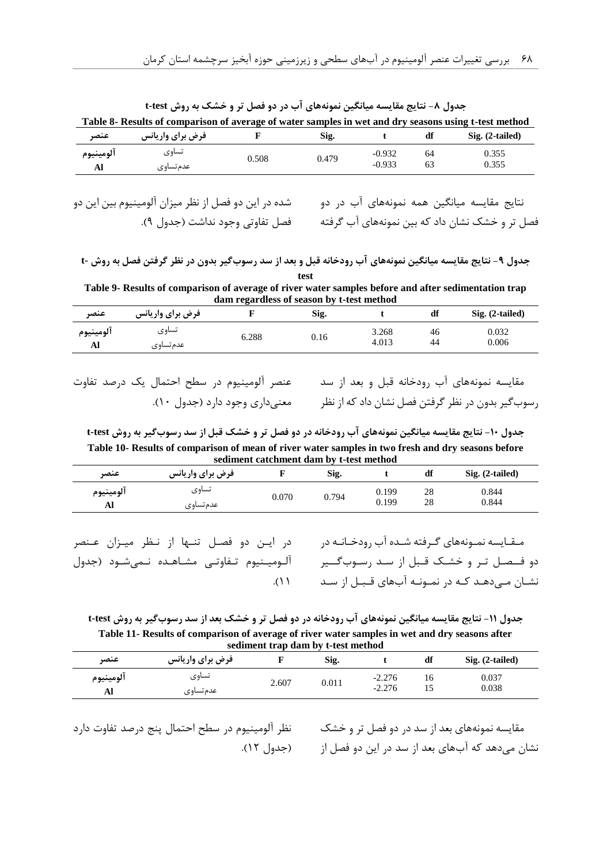|           | Table 8- Results of comparison of average of water samples in wet and dry seasons using t-test method |       |       |          |    |                            |
|-----------|-------------------------------------------------------------------------------------------------------|-------|-------|----------|----|----------------------------|
| عنصہ      | <b>فرض برای واریانس</b>                                                                               |       | Sig.  |          |    | $\mathrm{Sig.}$ (2-tailed) |
| آلومينيوم | تساوى                                                                                                 | 0.508 | 0.479 | $-0.932$ | 64 | 0.355                      |
|           | عدم تساوى                                                                                             |       |       | $-0.933$ | 63 | 0.355                      |

**جدول -5 نتایج مقایسه میانگین نمونههای آب در دو فصل تر و خشک به روش test-t**

نتايج مقايسه میانگین همه نمونههای آب در دو شده در اين دو فصل از نظر میزان آلومینیوم بین اين دو

فصل تر و خشک نشان داد که بین نمونههای اب گرفته می مشا قفاوتی وجود نداشت (جدول ۹).

**جدول -9 نتایج مقایسه میانگین نمونههای آب رودخانه قبل و بعد از سد رسوبگیر بدون در نظر گرفتن فصل به روش -t test**

**Table 9- Results of comparison of average of river water samples before and after sedimentation trap dam regardless of season by t-test method**

| عنصر      | فرض برای واریانس |      | Sig. |       | df | Sig. (2-tailed) |
|-----------|------------------|------|------|-------|----|-----------------|
| آلومينيوم | تساوى            | .288 | 0.16 | 3.268 | 46 | 0.032           |
| Al        | عدم تساوي        |      |      | 4.013 | 44 | 0.006           |

مقايسه نمونههای آب رودخانه قبل و بعد از سد عنصر آلومینیوم در سطح احتمال يک درصد تفاوت معنیداری وجود دارد )جدول 14(.

رسوبگیر بدون در نظر گرفتن فصل نشان داد که از نظر

**جدول -14 نتایج مقایسه میانگین نمونههای آب رودخانه در دو فصل تر و خشک قبل از سد رسوبگیر به روش test-t Table 10- Results of comparison of mean of river water samples in two fresh and dry seasons before sediment catchment dam by t-test method**

| عنصر            | فرض برای واریانس   |       | Sig.  |                | df       | Sig. (2-tailed) |
|-----------------|--------------------|-------|-------|----------------|----------|-----------------|
| آلومينيوم<br>Al | تساوى<br>عدم تساوى | 0.070 | 0.794 | 0.199<br>0.199 | 28<br>28 | 0.844<br>0.844  |
|                 |                    |       |       |                |          |                 |

در ايـن دو فصـل تنـها از نـظر میـزان عـنصر آلـومیـنیوم تـفاوتـی مشـاهـده نـمیشـود )جدول  $($ 

مـقـايسه نمـونههای گـرفته شـده آب رودخـانـه در دو فــصـل تـر و خشـک قـبل از سـد رسـوبگــیر نشـان مـیدهـد کـه در نمـونـه آبهای قـبـل از سـد

**جدول -11 نتایج مقایسه میانگین نمونههای آب رودخانه در دو فصل تر و خشک بعد از سد رسوبگیر به روش test-t Table 11- Results of comparison of average of river water samples in wet and dry seasons after sediment trap dam by t-test method**

| seunnent trap dam by t-test method |                  |       |       |          |    |                   |
|------------------------------------|------------------|-------|-------|----------|----|-------------------|
| عنصر                               | فرض برای واریانس |       | Sig.  |          | df | $Sig. (2-tailed)$ |
| آلومينيوم                          | تساوى            | 2.607 | 0.011 | $-2.276$ | 16 | 0.037             |
| Al                                 | عدم تساوى        |       |       | $-2.276$ |    | 0.038             |

نظر آلومینیوم در سطح احتمال پنج درصد تفاوت دارد )جدول 12(.

مقايسه نمونههای بعد از سد در دو فصل تر و خشک نشان میدهد که آبهای بعد از سد در اين دو فصل از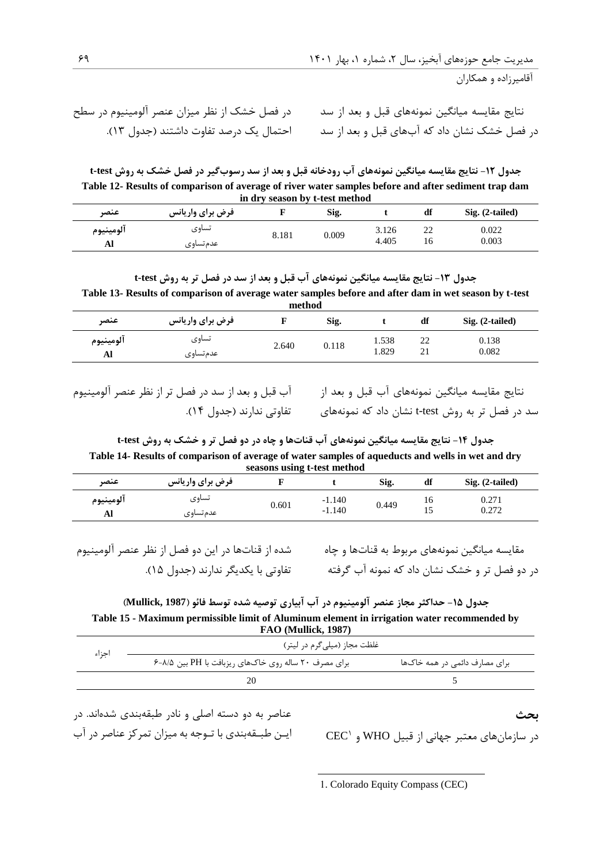در فصل خشک از نظر میزان عنصر آلومینیوم در سطح احتمال يک درصد تفاوت داشتند )جدول 13(.

نتايج مقايسه میانگین نمونههای قبل و بعد از سد در فصل خشک نشان داد که آبهای قبل و بعد از سد

**جدول -17 نتایج مقایسه میانگین نمونههای آب رودخانه قبل و بعد از سد رسوبگیر در فصل خشک به روش test-t Table 12- Results of comparison of average of river water samples before and after sediment trap dam in dry season by t-test method**

| عنصر      | فرض برای واریانس |       | Sig.  |       | df       | Sig. (2-tailed) |
|-----------|------------------|-------|-------|-------|----------|-----------------|
| آلومينيوم | تساوى            | 8.181 | 0.009 | 3.126 | າາ<br>∠∠ | 0.022           |
| Al        | عدم تساوى        |       |       | 4.405 | 16       | 0.003           |

**جدول -12 نتایج مقایسه میانگین نمونههای آب قبل و بعد از سد در فصل تر به روش test-t Table 13- Results of comparison of average water samples before and after dam in wet season by t-test method**

| шсиюч     |                  |       |       |       |    |                 |
|-----------|------------------|-------|-------|-------|----|-----------------|
| عنصر      | فرض برای واریانس |       | Sig.  |       | df | Sig. (2-tailed) |
| آلومينيوم | تساوى            | 2.640 | 0.118 | 1.538 | 22 | 0.138           |
| Al        | عدم تساوی        |       |       | 1.829 | 21 | 0.082           |

نتايج مقايسه میانگین نمونههای آب قبل و بعد از آب قبل و بعد از سد در فصل تر از نظر عنصر آلومینیوم

سد در فصل تر به روش t-test نشان داد که نمونههای تفاوتی ندارند (جدول ۱۴).

**جدول -10 نتایج مقایسه میانگین نمونههای آب قناتها و چاه در دو فصل تر و خشک به روش test-t Table 14- Results of comparison of average of water samples of aqueducts and wells in wet and dry seasons using t-test method**

| عنصر      | فرض برای واریانس |       |          | Sig.  | df       | Sig. (2-tailed) |
|-----------|------------------|-------|----------|-------|----------|-----------------|
| آلومينيوم | تساوى            | 0.601 | $-1.140$ | 0.449 | 16       | 0.271           |
| Al        | عدم تساوى        |       | $-1.140$ |       | -<br>⊥ J | 0.272           |

شده از قناتها در اين دو فصل از نظر عنصر آلومینیوم تفاوتی با يکديگر ندارند )جدول 11(.

مقايسه میانگین نمونههای مربوط به قناتها و چاه در دو فصل تر و خشک نشان داد که نمونه آب گرفته

**جدول -18 حداکثر مجاز عنصر آلومینیوم در آب آبیاری توصیه شده توسط فائو )1987 ,Mullick) Table 15 - Maximum permissible limit of Aluminum element in irrigation water recommended by FAO (Mullick, 1987)**

| اجزاء | غلظت مجاز (میلیگرم در لیتر)                          |                               |  |  |  |  |  |
|-------|------------------------------------------------------|-------------------------------|--|--|--|--|--|
|       | برای مصرف ۲۰ ساله روی خاکهای ریزبافت با PH بین ۸/۵-۶ | برای مصارف دائمی در همه خاکها |  |  |  |  |  |
|       |                                                      |                               |  |  |  |  |  |

عناصر به دو دسته اصلی و نادر طبقهبندی شدهاند. در ايـن طبـقهبندی با تـوجه به میزان تمرکز عناصر در آب

CEC <sup>1</sup> در سازمانهای معتبر جهانی از قبیل WHO و

**بحث**

1. Colorado Equity Compass (CEC)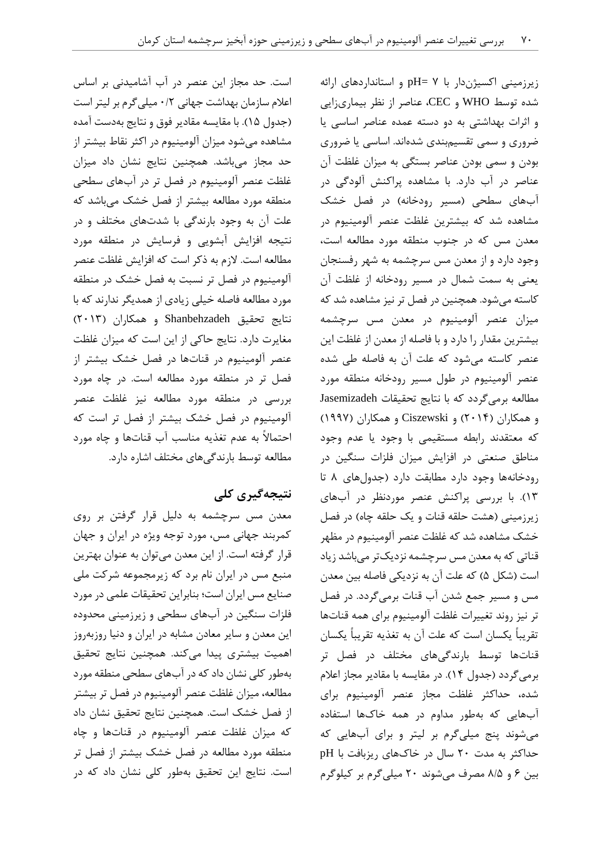است. حد مجاز اين عنصر در آب آشامیدنی بر اساس اعالم سازمان بهداشت جهانی 4/2 میلیگرم بر لیتر است )جدول 11(. با مقايسه مقادير فوق و نتايج بهدست آمده مشاهده میشود میزان آلومینیوم در اکثر نقاط بیشتر از حد مجاز میباشد. همچنین نتايج نشان داد میزان غلظت عنصر آلومینیوم در فصل تر در آبهای سطحی منطقه مورد مطالعه بیشتر از فصل خشک میباشد که علت آن به وجود بارندگی با شدتهای مختلف و در نتیجه افزايش آبشويی و فرسايش در منطقه مورد مطالعه است. الزم به ذکر است که افزايش غلظت عنصر آلومینیوم در فصل تر نسبت به فصل خشک در منطقه مورد مطالعه فاصله خیلی زيادی از همديگر ندارند که با نتايج تحقیق Shanbehzadeh و همکاران )2413( مغايرت دارد. نتايج حاکی از اين است که میزان غلظت عنصر آلومینیوم در قناتها در فصل خشک بیشتر از فصل تر در منطقه مورد مطالعه است. در چاه مورد بررسی در منطقه مورد مطالعه نیز غلظت عنصر آلومینیوم در فصل خشک بیشتر از فصل تر است که احتماالً به عدم تغذيه مناسب آب قناتها و چاه مورد مطالعه توسط بارندگیهای مختلف اشاره دارد.

## **نتیجهگیری کلی**

معدن مس سرچشمه به دلیل قرار گرفتن بر روی کمربند جهانی مس، مورد توجه ويژه در ايران و جهان قرار گرفته است. از اين معدن میتوان به عنوان بهترين منبع مس در ايران نام برد که زيرمجموعه شرکت ملی صنايع مس ايران است؛ بنابراين تحقیقات علمی در مورد فلزات سنگین در آبهای سطحی و زيرزمینی محدوده اين معدن و ساير معادن مشابه در ايران و دنیا روزبهروز اهمیت بیشتری پیدا میکند. همچنین نتايج تحقیق بهطور کلی نشان داد که در آبهای سطحی منطقه مورد مطالعه، میزان غلظت عنصر آلومینیوم در فصل تر بیشتر از فصل خشک است. همچنین نتايج تحقیق نشان داد که میزان غلظت عنصر آلومینیوم در قناتها و چاه منطقه مورد مطالعه در فصل خشک بیشتر از فصل تر است. نتايج اين تحقیق بهطور کلی نشان داد که در زيرزمینی اکسیژندار با 2 =pH و استانداردهای ارائه شده توسط WHO و CEC، عناصر از نظر بیماریزايی و اثرات بهداشتی به دو دسته عمده عناصر اساسی يا ضروری و سمی تقسیمبندی شدهاند. اساسی يا ضروری بودن و سمی بودن عناصر بستگی به میزان غلظت آن عناصر در آب دارد. با مشاهده پراکنش آلودگی در آبهای سطحی (مسیر رودخانه) در فصل خشک مشاهده شد که بیشترين غلظت عنصر آلومینیوم در معدن مس که در جنوب منطقه مورد مطالعه است، وجود دارد و از معدن مس سرچشمه به شهر رفسنجان يعنی به سمت شمال در مسیر رودخانه از غلظت آن کاسته میشود. همچنین در فصل تر نیز مشاهده شد که میزان عنصر آلومینیوم در معدن مس سرچشمه بیشترين مقدار را دارد و با فاصله از معدن از غلظت اين عنصر کاسته میشود که علت آن به فاصله طی شده عنصر آلومینیوم در طول مسیر رودخانه منطقه مورد مطالعه برمیگردد که با نتايج تحقیقات Jasemizadeh و همکاران )2410( و Ciszewski و همکاران )1992( که معتقدند رابطه مستقیمی با وجود يا عدم وجود مناطق صنعتی در افزايش میزان فلزات سنگین در رودخانهها وجود دارد مطابقت دارد )جدولهای 2 تا 13(. با بررسی پراکنش عنصر موردنظر در آبهای زيرزمينی (هشت حلقه قنات و يک حلقه چاه) در فصل خشک مشاهده شد که غلظت عنصر آلومینیوم در مظهر قناتی که به معدن مس سرچشمه نزديکتر میباشد زياد است (شکل ۵) که علت آن به نزديکی فاصله بين معدن مس و مسیر جمع شدن آب قنات برمیگردد. در فصل تر نیز روند تغییرات غلظت آلومینیوم برای همه قناتها تقريباً يکسان است که علت آن به تغذيه تقريباً يکسان قناتها توسط بارندگیهای مختلف در فصل تر برمیگردد )جدول 10(. در مقايسه با مقادير مجاز اعالم شده، حداکثر غلظت مجاز عنصر آلومینیوم برای آبهايی که بهطور مداوم در همه خاکها استفاده میشوند پنج میلیگرم بر لیتر و برای آبهايی که حداکثر به مدت 24 سال در خاکهای ريزبافت با pH بین 1 و 2/1 مصرف میشوند 24 میلیگرم بر کیلوگرم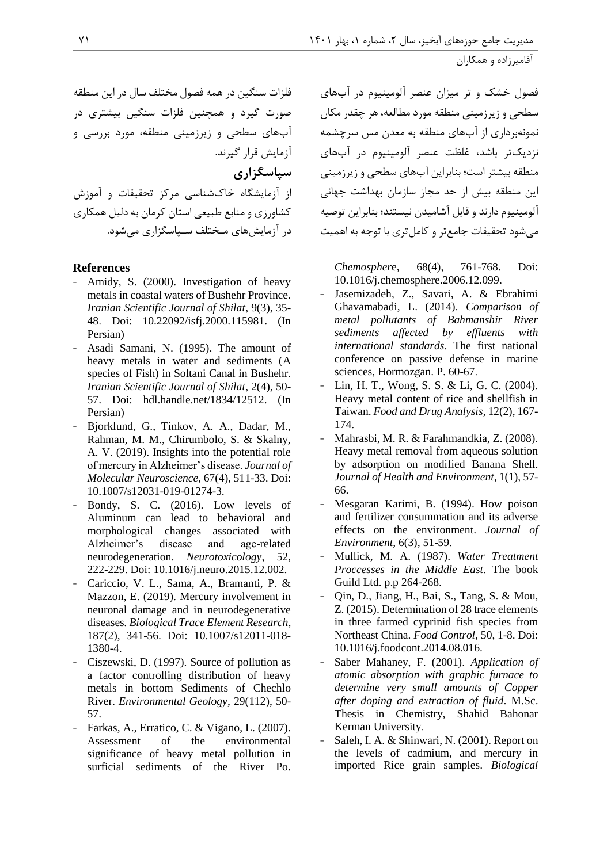فصول خشک و تر میزان عنصر آلومینیوم در آبهای سطحی و زيرزمینی منطقه مورد مطالعه، هر چقدر مکان نمونهبرداری از آبهای منطقه به معدن مس سرچشمه نزديکتر باشد، غلظت عنصر آلومینیوم در آبهای منطقه بیشتر است؛ بنابراين آبهای سطحی و زيرزمینی اين منطقه بیش از حد مجاز سازمان بهداشت جهانی آلومینیوم دارند و قابل آشامیدن نیستند؛ بنابراين توصیه میشود تحقیقات جامعتر و کاملتری با توجه به اهمیت

*Chemospher*e, 68(4), 761-768. [Doi:](https://doi.org/10.1016/j.chemosphere.2006.12.099)  [10.1016/j.chemosphere.2006.12.099.](https://doi.org/10.1016/j.chemosphere.2006.12.099)

- Jasemizadeh, Z., Savari, A. & Ebrahimi Ghavamabadi, L. (2014). *Comparison of metal pollutants of Bahmanshir River sediments affected by effluents with international standards*. The first national conference on passive defense in marine sciences, Hormozgan. P. 60-67.
- Lin, H. T., Wong, S. S. & Li, G. C. (2004). Heavy metal content of rice and shellfish in Taiwan. *Food and Drug Analysis*, 12(2), 167- 174.
- Mahrasbi, M. R. & Farahmandkia, Z. (2008). Heavy metal removal from aqueous solution by adsorption on modified Banana Shell. *Journal of Health and Environment*, 1(1), 57- 66.
- Mesgaran Karimi, B. (1994). How poison and fertilizer consummation and its adverse effects on the environment. *Journal of Environment*, 6(3), 51-59.
- Mullick, M. A. (1987). *Water Treatment Proccesses in the Middle East*. The book Guild Ltd. p.p 264-268.
- Qin, D., Jiang, H., Bai, S., Tang, S. & Mou, Z. (2015). Determination of 28 trace elements in three farmed cyprinid fish species from Northeast China. *Food Control*, 50, 1-8. Doi: 10.1016/j.foodcont.2014.08.016.
- Saber Mahaney, F. (2001). *Application of atomic absorption with graphic furnace to determine very small amounts of Copper after doping and extraction of fluid*. M.Sc. Thesis in Chemistry, Shahid Bahonar Kerman University.
- Saleh, I. A. & Shinwari, N. (2001). Report on the levels of cadmium, and mercury in imported Rice grain samples. *Biological*

فلزات سنگین در همه فصول مختلف سال در اين منطقه صورت گیرد و همچنین فلزات سنگین بیشتری در آبهای سطحی و زيرزمینی منطقه، مورد بررسی و آزمايش قرار گیرند. **سپاسگزاری**

از آزمايشگاه خاکشناسی مرکز تحقیقات و آموزش کشاورزی و منابع طبیعی استان کرمان به دلیل همکاری در آزمايشهای مـختلف سـپاسگزاری میشود.

## **References**

- Amidy, S. (2000). Investigation of heavy metals in coastal waters of Bushehr Province. *Iranian Scientific Journal of Shilat*, 9(3), 35- 48. Doi: [10.22092/isfj.2000.115981.](https://dx.doi.org/10.22092/isfj.2000.115981) (In Persian)
- Asadi Samani, N. (1995). The amount of heavy metals in water and sediments (A species of Fish) in Soltani Canal in Bushehr. *Iranian Scientific Journal of Shilat*, 2(4), 50- 57. Doi: [hdl.handle.net/1834/12512.](http://hdl.handle.net/1834/12512) (In Persian)
- Bjorklund, G., Tinkov, A. A., Dadar, M., Rahman, M. M., Chirumbolo, S. & Skalny, A. V. (2019). Insights into the potential role of mercury in Alzheimer's disease. *Journal of Molecular Neuroscience*, 67(4), 511-33. Doi: 10.1007/s12031-019-01274-3.
- Bondy, S. C. (2016). Low levels of Aluminum can lead to behavioral and morphological changes associated with Alzheimer's disease and age-related neurodegeneration. *Neurotoxicology*, 52, 222-229. Doi: [10.1016/j.neuro.2015.12.002.](https://doi.org/10.1016/j.neuro.2015.12.002)
- Cariccio, V. L., Sama, A., Bramanti, P. & Mazzon, E. (2019). Mercury involvement in neuronal damage and in neurodegenerative diseases*. Biological Trace Element Research*, 187(2), 341-56. Doi: [10.1007/s12011-018-](https://doi.org/10.1007/s12011-018-1380-4) [1380-4.](https://doi.org/10.1007/s12011-018-1380-4)
- Ciszewski, D. (1997). Source of pollution as a factor controlling distribution of heavy metals in bottom Sediments of Chechlo River. *Environmental Geology*, 29(112), 50- 57.
- Farkas, A., Erratico, C. & Vigano, L. (2007). Assessment of the environmental significance of heavy metal pollution in surficial sediments of the River Po.